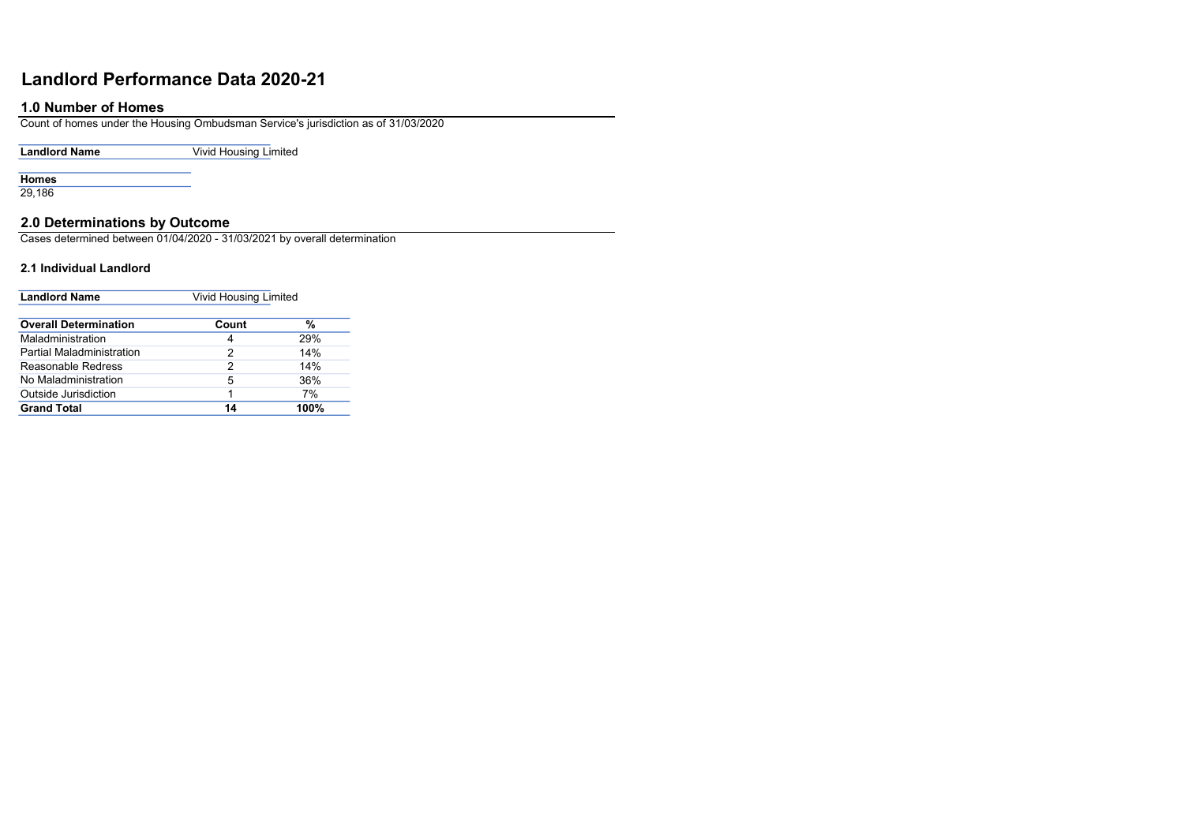# Landlord Performance Data 2020-21

# 1.0 Number of Homes

Count of homes under the Housing Ombudsman Service's jurisdiction as of 31/03/2020

Landlord Name **Vivid Housing Limited** 

**Homes** 

29,186

## 2.0 Determinations by Outcome

Cases determined between 01/04/2020 - 31/03/2021 by overall determination

#### 2.1 Individual Landlord

| <b>Landlord Name</b>             | <b>Vivid Housing Limited</b> |      |
|----------------------------------|------------------------------|------|
| <b>Overall Determination</b>     | Count                        | %    |
| Maladministration                | 4                            | 29%  |
| <b>Partial Maladministration</b> | 2                            | 14%  |
| Reasonable Redress               | 2                            | 14%  |
| No Maladministration             | 5                            | 36%  |
| <b>Outside Jurisdiction</b>      | 1                            | 7%   |
| <b>Grand Total</b>               | 14                           | 100% |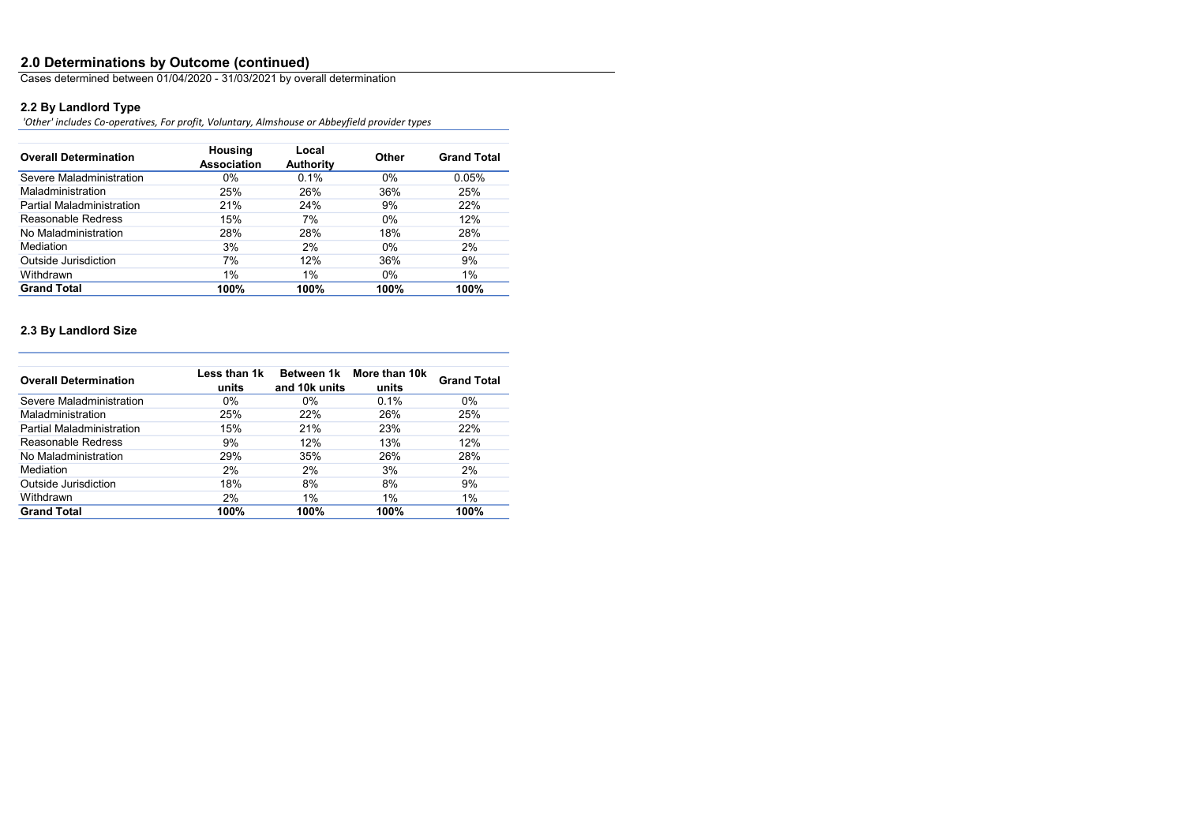### 2.0 Determinations by Outcome (continued)

Cases determined between 01/04/2020 - 31/03/2021 by overall determination

# 2.2 By Landlord Type

'Other' includes Co-operatives, For profit, Voluntary, Almshouse or Abbeyfield provider types

| <b>Overall Determination</b>     | <b>Housing</b><br><b>Association</b> | Local<br><b>Authority</b> | <b>Other</b> | <b>Grand Total</b> |
|----------------------------------|--------------------------------------|---------------------------|--------------|--------------------|
| Severe Maladministration         | $0\%$                                | 0.1%                      | $0\%$        | 0.05%              |
| Maladministration                | 25%                                  | 26%                       | 36%          | 25%                |
| <b>Partial Maladministration</b> | 21%                                  | 24%                       | 9%           | 22%                |
| Reasonable Redress               | 15%                                  | 7%                        | $0\%$        | 12%                |
| No Maladministration             | 28%                                  | 28%                       | 18%          | 28%                |
| <b>Mediation</b>                 | 3%                                   | 2%                        | $0\%$        | 2%                 |
| Outside Jurisdiction             | 7%                                   | 12%                       | 36%          | 9%                 |
| Withdrawn                        | 1%                                   | 1%                        | $0\%$        | 1%                 |
| <b>Grand Total</b>               | 100%                                 | 100%                      | 100%         | 100%               |

# 2.3 By Landlord Size

| <b>Overall Determination</b>     | Less than 1k<br>units | <b>Between 1k</b><br>and 10k units | More than 10k<br>units | <b>Grand Total</b> |
|----------------------------------|-----------------------|------------------------------------|------------------------|--------------------|
| Severe Maladministration         | $0\%$                 | $0\%$                              | 0.1%                   | $0\%$              |
| Maladministration                | 25%                   | 22%                                | 26%                    | 25%                |
| <b>Partial Maladministration</b> | 15%                   | 21%                                | 23%                    | 22%                |
| Reasonable Redress               | 9%                    | 12%                                | 13%                    | 12%                |
| No Maladministration             | 29%                   | 35%                                | 26%                    | 28%                |
| <b>Mediation</b>                 | $2\%$                 | 2%                                 | 3%                     | 2%                 |
| Outside Jurisdiction             | 18%                   | 8%                                 | 8%                     | 9%                 |
| Withdrawn                        | 2%                    | 1%                                 | 1%                     | 1%                 |
| <b>Grand Total</b>               | 100%                  | 100%                               | 100%                   | 100%               |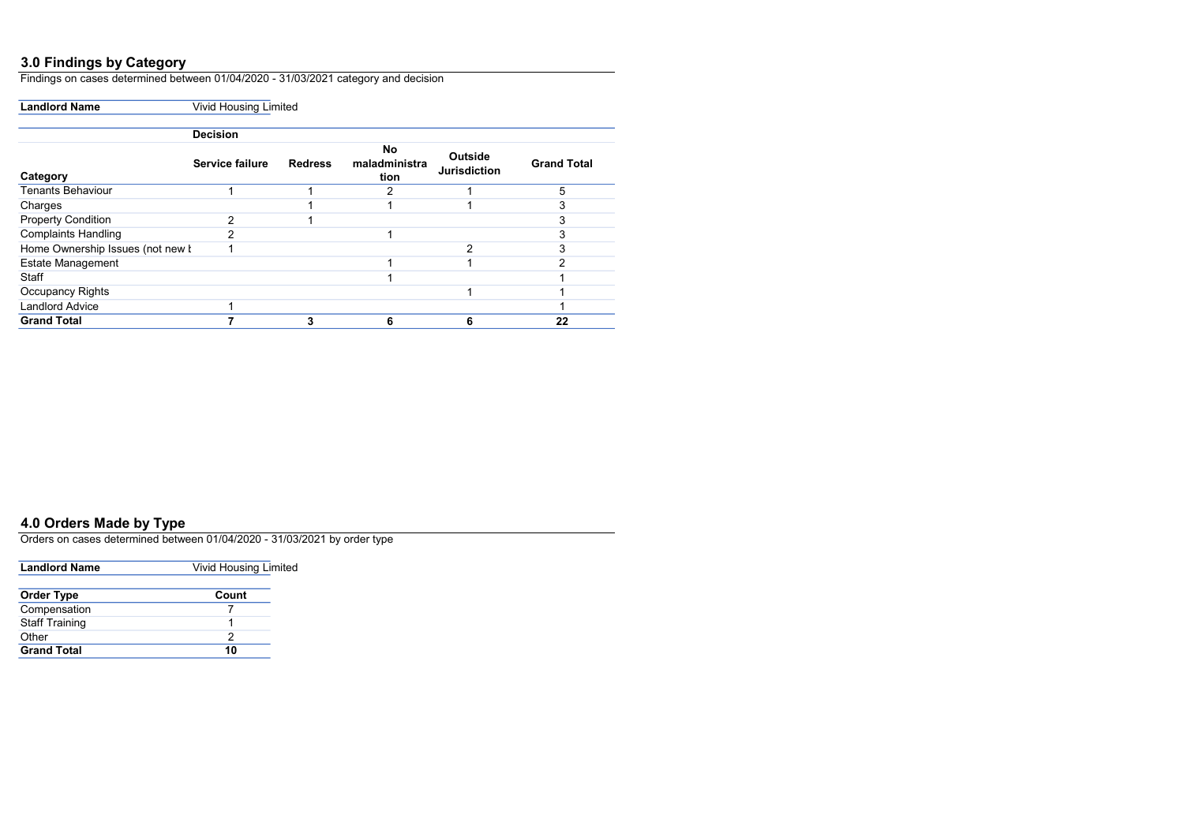### 3.0 Findings by Category

Findings on cases determined between 01/04/2020 - 31/03/2021 category and decision

Landlord Name **Vivid Housing Limited** 

|                                  | <b>Decision</b>        |                |                                    |                                       |                    |
|----------------------------------|------------------------|----------------|------------------------------------|---------------------------------------|--------------------|
| Category                         | <b>Service failure</b> | <b>Redress</b> | <b>No</b><br>maladministra<br>tion | <b>Outside</b><br><b>Jurisdiction</b> | <b>Grand Total</b> |
| <b>Tenants Behaviour</b>         |                        |                | 2                                  |                                       | 5                  |
| Charges                          |                        |                |                                    |                                       |                    |
| <b>Property Condition</b>        | ◠                      |                |                                    |                                       |                    |
| <b>Complaints Handling</b>       | າ                      |                |                                    |                                       |                    |
| Home Ownership Issues (not new I |                        |                |                                    | 2                                     |                    |
| <b>Estate Management</b>         |                        |                |                                    |                                       |                    |
| <b>Staff</b>                     |                        |                |                                    |                                       |                    |
| <b>Occupancy Rights</b>          |                        |                |                                    |                                       |                    |
| <b>Landlord Advice</b>           |                        |                |                                    |                                       |                    |
| <b>Grand Total</b>               |                        |                |                                    | 6                                     | 22                 |

## 4.0 Orders Made by Type

Orders on cases determined between 01/04/2020 - 31/03/2021 by order type

| <b>Landlord Name</b>  | <b>Vivid Housing Limited</b> |  |
|-----------------------|------------------------------|--|
|                       |                              |  |
| <b>Order Type</b>     | Count                        |  |
| Compensation          |                              |  |
| <b>Staff Training</b> |                              |  |
| Other                 | 2                            |  |
| <b>Grand Total</b>    | 10                           |  |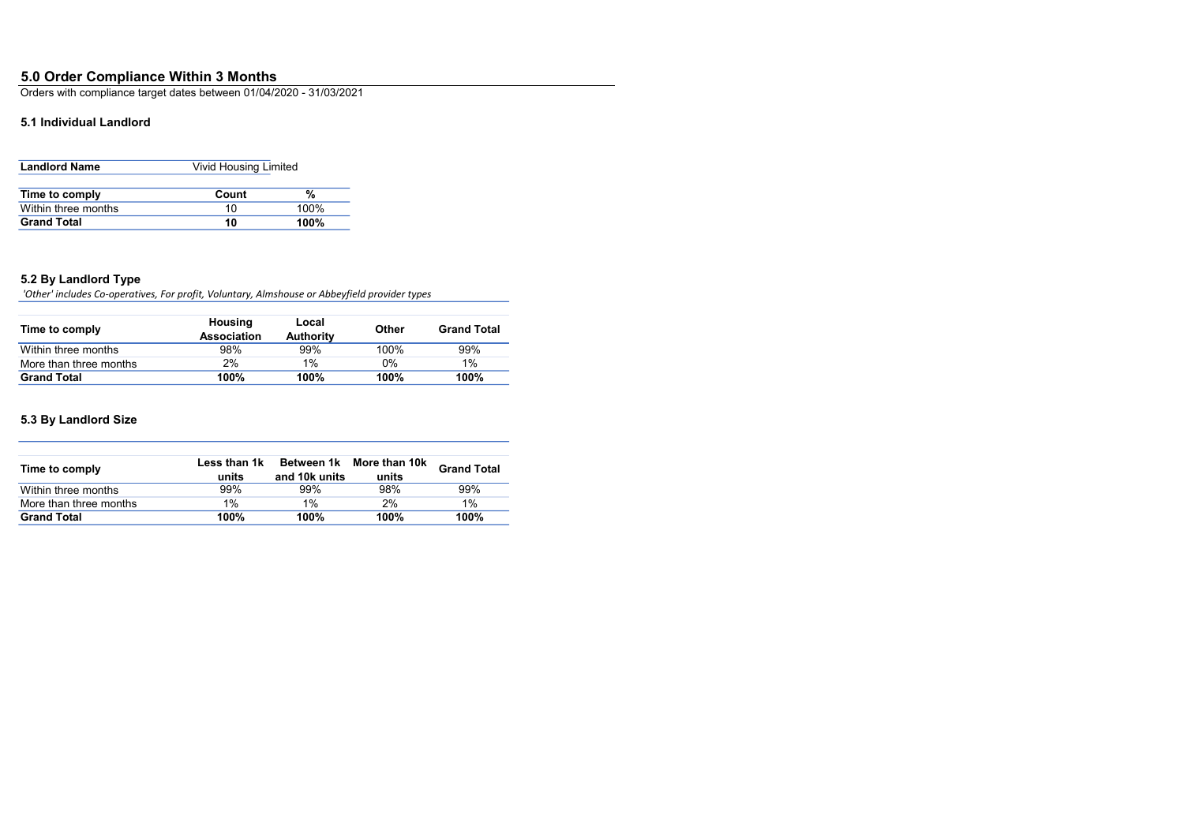# 5.0 Order Compliance Within 3 Months

Orders with compliance target dates between 01/04/2020 - 31/03/2021

## 5.1 Individual Landlord

| <b>Landlord Name</b> | <b>Vivid Housing Limited</b> |         |
|----------------------|------------------------------|---------|
| Time to comply       | Count                        | %       |
| Within three months  | 10                           | 100%    |
| <b>Grand Total</b>   | 10                           | $100\%$ |

### 5.2 By Landlord Type

'Other' includes Co-operatives, For profit, Voluntary, Almshouse or Abbeyfield provider types

| Time to comply         | <b>Housing</b><br><b>Association</b> | Local<br><b>Authority</b> | <b>Other</b> | <b>Grand Total</b> |
|------------------------|--------------------------------------|---------------------------|--------------|--------------------|
| Within three months    | 98%                                  | 99%                       | 100%         | 99%                |
| More than three months | 2%                                   | $1\%$                     | 0%           | 1%                 |
| <b>Grand Total</b>     | 100%                                 | 100%                      | 100%         | 100%               |

## 5.3 By Landlord Size

| Time to comply         | Less than 1k<br>units | Between 1k<br>and 10k units | More than 10k<br>units | <b>Grand Total</b> |
|------------------------|-----------------------|-----------------------------|------------------------|--------------------|
| Within three months    | 99%                   | 99%                         | 98%                    | 99%                |
| More than three months | 1%                    | $1\%$                       | 2%                     | 1%                 |
| <b>Grand Total</b>     | 100%                  | 100%                        | 100%                   | 100%               |